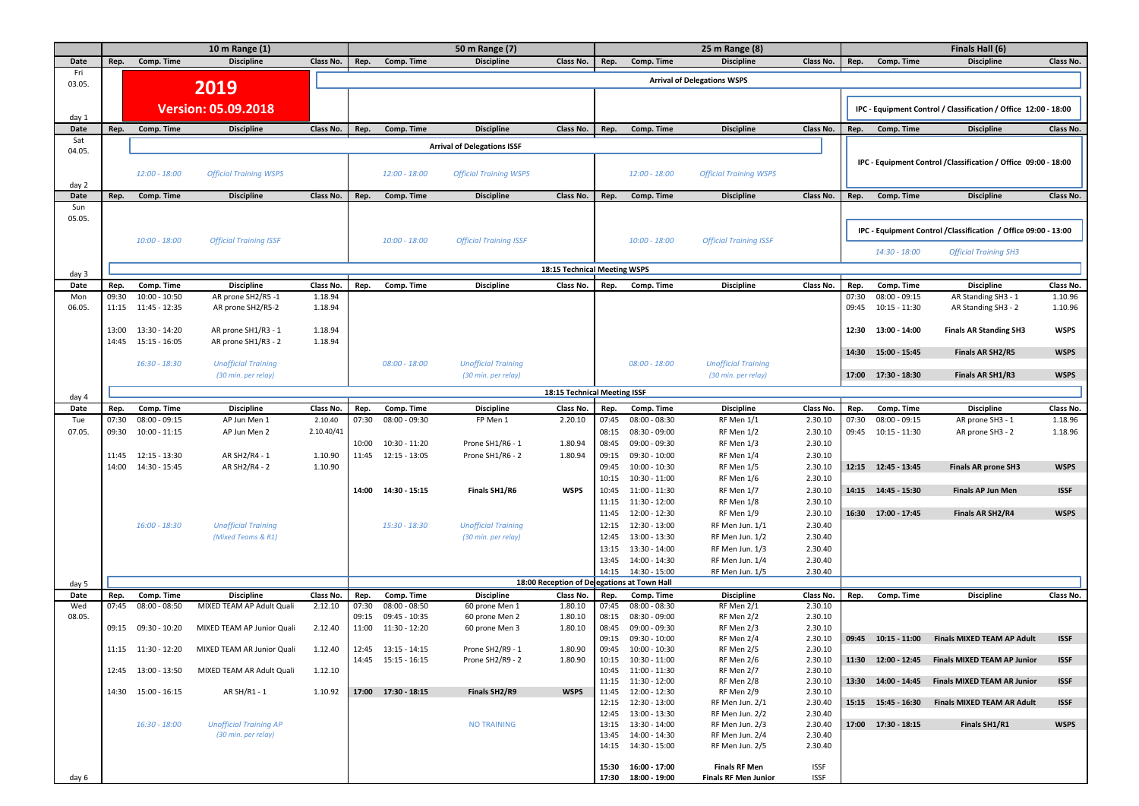|               | 10 m Range (1) |                                  |                                         | 50 m Range (7)       |               |                               |                                    | 25 m Range (8)                              |                |                                              |                                    | Finals Hall (6)      |                |                                  |                                                                 |                      |  |
|---------------|----------------|----------------------------------|-----------------------------------------|----------------------|---------------|-------------------------------|------------------------------------|---------------------------------------------|----------------|----------------------------------------------|------------------------------------|----------------------|----------------|----------------------------------|-----------------------------------------------------------------|----------------------|--|
| Date          | Rep.           | Comp. Time                       | <b>Discipline</b>                       | Class No.            | Rep.          | Comp. Time                    | <b>Discipline</b>                  | Class No.                                   | Rep.           | Comp. Time                                   | <b>Discipline</b>                  | Class No.            | Rep.           | Comp. Time                       | <b>Discipline</b>                                               | Class No.            |  |
| Fri<br>03.05. |                |                                  |                                         |                      |               |                               |                                    |                                             |                |                                              | <b>Arrival of Delegations WSPS</b> |                      |                |                                  |                                                                 |                      |  |
|               |                |                                  | 2019                                    |                      |               |                               |                                    |                                             |                |                                              |                                    |                      |                |                                  |                                                                 |                      |  |
|               |                |                                  | <b>Version: 05.09.2018</b>              |                      |               |                               |                                    |                                             |                |                                              |                                    |                      |                |                                  | IPC - Equipment Control / Classification / Office 12:00 - 18:00 |                      |  |
| day 1         |                |                                  |                                         |                      |               |                               |                                    |                                             |                |                                              |                                    |                      |                |                                  |                                                                 |                      |  |
| Date<br>Sat   | Rep.           | Comp. Time                       | <b>Discipline</b>                       | Class No.            | Rep.          | Comp. Time                    | <b>Discipline</b>                  | Class No.                                   | Rep.           | Comp. Time                                   | <b>Discipline</b>                  | Class No.            | Rep.           | Comp. Time                       | <b>Discipline</b>                                               | Class No.            |  |
| 04.05.        |                |                                  |                                         |                      |               |                               | <b>Arrival of Delegations ISSF</b> |                                             |                |                                              |                                    |                      |                |                                  |                                                                 |                      |  |
|               |                |                                  |                                         |                      |               |                               |                                    |                                             |                |                                              |                                    |                      |                |                                  | IPC - Equipment Control / Classification / Office 09:00 - 18:00 |                      |  |
|               |                | $12:00 - 18:00$                  | <b>Official Training WSPS</b>           |                      |               | $12:00 - 18:00$               | <b>Official Training WSPS</b>      |                                             |                | $12:00 - 18:00$                              | <b>Official Training WSPS</b>      |                      |                |                                  |                                                                 |                      |  |
| day 2<br>Date | Rep.           | Comp. Time                       | <b>Discipline</b>                       | Class No.            | Rep.          | Comp. Time                    | <b>Discipline</b>                  | Class No.                                   | Rep.           | Comp. Time                                   | <b>Discipline</b>                  | Class No.            | Rep.           | Comp. Time                       | <b>Discipline</b>                                               | Class No.            |  |
| Sun           |                |                                  |                                         |                      |               |                               |                                    |                                             |                |                                              |                                    |                      |                |                                  |                                                                 |                      |  |
| 05.05.        |                |                                  |                                         |                      |               |                               |                                    |                                             |                |                                              |                                    |                      |                |                                  |                                                                 |                      |  |
|               |                |                                  |                                         |                      |               |                               |                                    |                                             |                |                                              |                                    |                      |                |                                  | IPC - Equipment Control / Classification / Office 09:00 - 13:00 |                      |  |
|               |                | $10:00 - 18:00$                  | <b>Official Training ISSF</b>           |                      |               | $10:00 - 18:00$               | <b>Official Training ISSF</b>      |                                             |                | $10:00 - 18:00$                              | <b>Official Training ISSF</b>      |                      |                | 14:30 - 18:00                    | <b>Official Training SH3</b>                                    |                      |  |
|               |                |                                  |                                         |                      |               |                               |                                    |                                             |                |                                              |                                    |                      |                |                                  |                                                                 |                      |  |
| day 3         |                |                                  |                                         |                      |               |                               |                                    | 18:15 Technical Meeting WSPS                |                |                                              |                                    |                      |                |                                  |                                                                 |                      |  |
| Date          | Rep.           | Comp. Time                       | <b>Discipline</b>                       | Class No.            | Rep.          | Comp. Time                    | <b>Discipline</b>                  | Class No.                                   | Rep.           | Comp. Time                                   | <b>Discipline</b>                  | Class No.            | Rep.           | Comp. Time                       | <b>Discipline</b>                                               | Class No.            |  |
| Mon<br>06.05. | 09:30<br>11:15 | $10:00 - 10:50$<br>11:45 - 12:35 | AR prone SH2/R5 -1<br>AR prone SH2/R5-2 | 1.18.94<br>1.18.94   |               |                               |                                    |                                             |                |                                              |                                    |                      | 07:30<br>09:45 | $08:00 - 09:15$<br>10:15 - 11:30 | AR Standing SH3 - 1<br>AR Standing SH3 - 2                      | 1.10.96<br>1.10.96   |  |
|               |                |                                  |                                         |                      |               |                               |                                    |                                             |                |                                              |                                    |                      |                |                                  |                                                                 |                      |  |
|               | 13:00          | 13:30 - 14:20                    | AR prone SH1/R3 - 1                     | 1.18.94              |               |                               |                                    |                                             |                |                                              |                                    |                      | 12:30          | 13:00 - 14:00                    | <b>Finals AR Standing SH3</b>                                   | <b>WSPS</b>          |  |
|               |                | 14:45  15:15 - 16:05             | AR prone SH1/R3 - 2                     | 1.18.94              |               |                               |                                    |                                             |                |                                              |                                    |                      |                |                                  |                                                                 |                      |  |
|               |                | 16:30 - 18:30                    | <b>Unofficial Training</b>              |                      |               | $08:00 - 18:00$               | <b>Unofficial Training</b>         |                                             |                | $08:00 - 18:00$                              | <b>Unofficial Training</b>         |                      |                | 14:30  15:00 - 15:45             | Finals AR SH2/R5                                                | <b>WSPS</b>          |  |
|               |                |                                  | (30 min. per relay)                     |                      |               |                               | (30 min. per relay)                |                                             |                |                                              | (30 min. per relay)                |                      |                | 17:00  17:30 - 18:30             | Finals AR SH1/R3                                                | <b>WSPS</b>          |  |
|               |                |                                  |                                         |                      |               |                               |                                    | 18:15 Technical Meeting ISSF                |                |                                              |                                    |                      |                |                                  |                                                                 |                      |  |
| day 4         |                |                                  |                                         |                      |               |                               |                                    |                                             |                |                                              |                                    |                      |                |                                  |                                                                 |                      |  |
| Date          | Rep.<br>07:30  | Comp. Time<br>$08:00 - 09:15$    | <b>Discipline</b><br>AP Jun Men 1       | Class No.<br>2.10.40 | Rep.<br>07:30 | Comp. Time<br>$08:00 - 09:30$ | <b>Discipline</b><br>FP Men 1      | Class No.<br>2.20.10                        | Rep.<br>07:45  | Comp. Time<br>$08:00 - 08:30$                | <b>Discipline</b><br>RF Men 1/1    | Class No.<br>2.30.10 | Rep.<br>07:30  | Comp. Time<br>$08:00 - 09:15$    | <b>Discipline</b>                                               | Class No.<br>1.18.96 |  |
| Tue<br>07.05. | 09:30          | $10:00 - 11:15$                  | AP Jun Men 2                            | 2.10.40/41           |               |                               |                                    |                                             | 08:15          | 08:30 - 09:00                                | RF Men 1/2                         | 2.30.10              | 09:45          | 10:15 - 11:30                    | AR prone SH3 - 1<br>AR prone SH3 - 2                            | 1.18.96              |  |
|               |                |                                  |                                         |                      | 10:00         | 10:30 - 11:20                 | Prone SH1/R6 - 1                   | 1.80.94                                     | 08:45          | 09:00 - 09:30                                | RF Men 1/3                         | 2.30.10              |                |                                  |                                                                 |                      |  |
|               | 11:45          | 12:15 - 13:30                    | AR SH2/R4 - 1                           | 1.10.90              |               | 11:45  12:15 - 13:05          | Prone SH1/R6 - 2                   | 1.80.94                                     | 09:15          | 09:30 - 10:00                                | RF Men 1/4                         | 2.30.10              |                |                                  |                                                                 |                      |  |
|               | 14:00          | 14:30 - 15:45                    | AR SH2/R4 - 2                           | 1.10.90              |               |                               |                                    |                                             | 09:45          | 10:00 - 10:30                                | RF Men 1/5                         | 2.30.10              |                | 12:15  12:45 - 13:45             | <b>Finals AR prone SH3</b>                                      | <b>WSPS</b>          |  |
|               |                |                                  |                                         |                      |               |                               |                                    |                                             | 10:15          | 10:30 - 11:00                                | RF Men 1/6                         | 2.30.10              |                |                                  |                                                                 |                      |  |
|               |                |                                  |                                         |                      |               | 14:00  14:30 - 15:15          | Finals SH1/R6                      | <b>WSPS</b>                                 | 10:45          | 11:00 - 11:30                                | RF Men 1/7                         | 2.30.10              |                | 14:15  14:45 - 15:30             | <b>Finals AP Jun Men</b>                                        | <b>ISSF</b>          |  |
|               |                |                                  |                                         |                      |               |                               |                                    |                                             | 11:15<br>11:45 | 11:30 - 12:00<br>12:00 - 12:30               | RF Men 1/8<br>RF Men 1/9           | 2.30.10<br>2.30.10   |                | 16:30 17:00 - 17:45              | Finals AR SH2/R4                                                | <b>WSPS</b>          |  |
|               |                | $16:00 - 18:30$                  | <b>Unofficial Training</b>              |                      |               | $15:30 - 18:30$               | <b>Unofficial Training</b>         |                                             | 12:15          | 12:30 - 13:00                                | RF Men Jun. 1/1                    | 2.30.40              |                |                                  |                                                                 |                      |  |
|               |                |                                  | (Mixed Teams & R1)                      |                      |               |                               | (30 min. per relay)                |                                             | 12:45          | 13:00 - 13:30                                | RF Men Jun. 1/2                    | 2.30.40              |                |                                  |                                                                 |                      |  |
|               |                |                                  |                                         |                      |               |                               |                                    |                                             | 13:15          | 13:30 - 14:00                                | RF Men Jun. 1/3                    | 2.30.40              |                |                                  |                                                                 |                      |  |
|               |                |                                  |                                         |                      |               |                               |                                    |                                             | 13:45          | 14:00 - 14:30                                | RF Men Jun. 1/4                    | 2.30.40              |                |                                  |                                                                 |                      |  |
|               |                |                                  |                                         |                      |               |                               |                                    | 18:00 Reception of Delegations at Town Hall | 14:15          | 14:30 - 15:00                                | RF Men Jun. 1/5                    | 2.30.40              |                |                                  |                                                                 |                      |  |
| day 5<br>Date | Rep.           | Comp. Time                       | <b>Discipline</b>                       | Class No.            | Rep.          | Comp. Time                    | <b>Discipline</b>                  | Class No.                                   | Rep.           | Comp. Time                                   | <b>Discipline</b>                  | Class No.            | Rep.           | Comp. Time                       | <b>Discipline</b>                                               | Class No.            |  |
| Wed           | 07:45          | $08:00 - 08:50$                  | MIXED TEAM AP Adult Quali               | 2.12.10              | 07:30         | $08:00 - 08:50$               | 60 prone Men 1                     | 1.80.10                                     | 07:45          | 08:00 - 08:30                                | RF Men 2/1                         | 2.30.10              |                |                                  |                                                                 |                      |  |
| 08.05.        |                |                                  |                                         |                      | 09:15         | 09:45 - 10:35                 | 60 prone Men 2                     | 1.80.10                                     | 08:15          | 08:30 - 09:00                                | RF Men 2/2                         | 2.30.10              |                |                                  |                                                                 |                      |  |
|               |                | 09:15  09:30 - 10:20             | MIXED TEAM AP Junior Quali              | 2.12.40              |               | 11:00  11:30 - 12:20          | 60 prone Men 3                     | 1.80.10                                     | 08:45          | 09:00 - 09:30                                | RF Men 2/3                         | 2.30.10              |                |                                  |                                                                 |                      |  |
|               | 11:15          | 11:30 - 12:20                    | MIXED TEAM AR Junior Quali              | 1.12.40              |               | $12:45$ $13:15 - 14:15$       | Prone SH2/R9 - 1                   | 1.80.90                                     | 09:15          | 09:30 - 10:00<br>09:45 10:00 - 10:30         | RF Men 2/4<br>RF Men 2/5           | 2.30.10<br>2.30.10   |                | 09:45  10:15 - 11:00             | Finals MIXED TEAM AP Adult                                      | <b>ISSF</b>          |  |
|               |                |                                  |                                         |                      |               | 14:45  15:15 - 16:15          | Prone SH2/R9 - 2                   | 1.80.90                                     |                | 10:15  10:30 - 11:00                         | RF Men 2/6                         | 2.30.10              |                |                                  | 11:30  12:00 - 12:45  Finals MIXED TEAM AP Junior               | <b>ISSF</b>          |  |
|               |                | 12:45  13:00 - 13:50             | MIXED TEAM AR Adult Quali               | 1.12.10              |               |                               |                                    |                                             |                | 10:45  11:00 - 11:30                         | RF Men 2/7                         | 2.30.10              |                |                                  |                                                                 |                      |  |
|               |                |                                  |                                         |                      |               |                               |                                    |                                             |                | 11:15  11:30 - 12:00                         | RF Men 2/8                         | 2.30.10              |                |                                  | 13:30 14:00 - 14:45 Finals MIXED TEAM AR Junior                 | <b>ISSF</b>          |  |
|               |                | 14:30  15:00 - 16:15             | AR SH/R1 - 1                            | 1.10.92              |               | 17:00  17:30 - 18:15          | Finals SH2/R9                      | <b>WSPS</b>                                 |                | 11:45  12:00 - 12:30<br>12:15  12:30 - 13:00 | RF Men 2/9<br>RF Men Jun. 2/1      | 2.30.10<br>2.30.40   |                |                                  | 15:15  15:45 - 16:30  Finals MIXED TEAM AR Adult                | <b>ISSF</b>          |  |
|               |                |                                  |                                         |                      |               |                               |                                    |                                             |                | 12:45  13:00 - 13:30                         | RF Men Jun. 2/2                    | 2.30.40              |                |                                  |                                                                 |                      |  |
|               |                | $16:30 - 18:00$                  | <b>Unofficial Training AP</b>           |                      |               |                               | <b>NO TRAINING</b>                 |                                             |                | 13:15  13:30 - 14:00                         | RF Men Jun. 2/3                    | 2.30.40              |                | 17:00  17:30 - 18:15             | Finals SH1/R1                                                   | <b>WSPS</b>          |  |
|               |                |                                  | (30 min. per relay)                     |                      |               |                               |                                    |                                             |                | 13:45  14:00 - 14:30                         | RF Men Jun. 2/4                    | 2.30.40              |                |                                  |                                                                 |                      |  |
|               |                |                                  |                                         |                      |               |                               |                                    |                                             |                | 14:15  14:30 - 15:00                         | RF Men Jun. 2/5                    | 2.30.40              |                |                                  |                                                                 |                      |  |
|               |                |                                  |                                         |                      |               |                               |                                    |                                             |                | 15:30  16:00 - 17:00                         | <b>Finals RF Men</b>               | <b>ISSF</b>          |                |                                  |                                                                 |                      |  |
| day 6         |                |                                  |                                         |                      |               |                               |                                    |                                             |                | 17:30  18:00 - 19:00                         | <b>Finals RF Men Junior</b>        | <b>ISSF</b>          |                |                                  |                                                                 |                      |  |